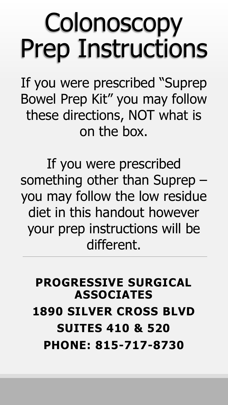### **Colonoscopy** Prep Instructions

If you were prescribed "Suprep Bowel Prep Kit" you may follow these directions, NOT what is on the box.

If you were prescribed something other than Suprep – you may follow the low residue diet in this handout however your prep instructions will be different.

#### **PROGRESSIVE SURGICAL ASSOCIATES 1890 SILVER CROSS BLVD SUITES 410 & 520 PHONE: 815-717-8730**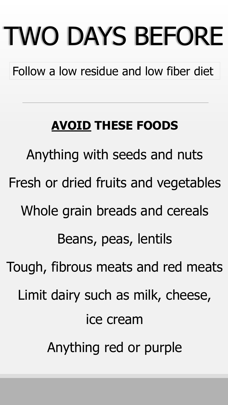# TWO DAYS BEFORE

Follow a low residue and low fiber diet

#### **AVOID THESE FOODS**

Anything with seeds and nuts Fresh or dried fruits and vegetables Whole grain breads and cereals Beans, peas, lentils Tough, fibrous meats and red meats Limit dairy such as milk, cheese, ice cream Anything red or purple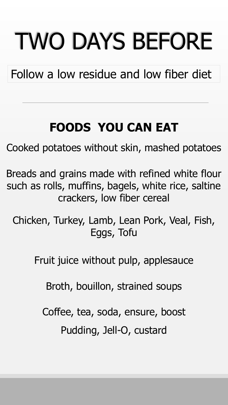# TWO DAYS BEFORE

Follow a low residue and low fiber diet

#### **FOODS YOU CAN EAT**

Cooked potatoes without skin, mashed potatoes

Breads and grains made with refined white flour such as rolls, muffins, bagels, white rice, saltine crackers, low fiber cereal

Chicken, Turkey, Lamb, Lean Pork, Veal, Fish, Eggs, Tofu

Fruit juice without pulp, applesauce

Broth, bouillon, strained soups

Coffee, tea, soda, ensure, boost

Pudding, Jell-O, custard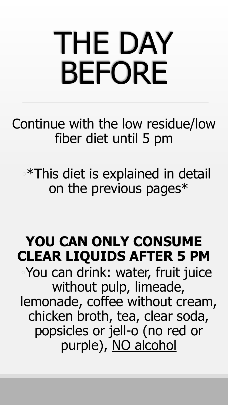# THE DAY BEFORE

Continue with the low residue/low fiber diet until 5 pm

◦\*This diet is explained in detail on the previous pages\*

#### **YOU CAN ONLY CONSUME CLEAR LIQUIDS AFTER 5 PM**

◦You can drink: water, fruit juice without pulp, limeade, lemonade, coffee without cream, chicken broth, tea, clear soda, popsicles or jell-o (no red or purple), NO alcohol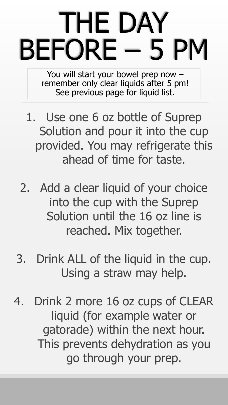## THE DAY BEFORE – 5 PM

You will start your bowel prep now – remember only clear liquids after 5 pm! See previous page for liquid list.

- 1. Use one 6 oz bottle of Suprep Solution and pour it into the cup provided. You may refrigerate this ahead of time for taste.
- 2. Add a clear liquid of your choice into the cup with the Suprep Solution until the 16 oz line is reached. Mix together.
- 3. Drink ALL of the liquid in the cup. Using a straw may help.
- 4. Drink 2 more 16 oz cups of CLEAR liquid (for example water or gatorade) within the next hour. This prevents dehydration as you go through your prep.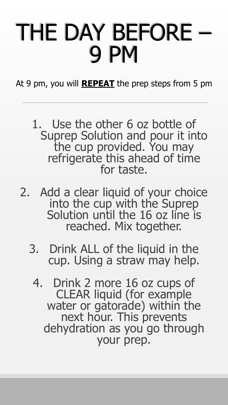### THE DAY BEFORE – 9 PM

At 9 pm, you will **REPEAT** the prep steps from 5 pm

1. Use the other 6 oz bottle of Suprep Solution and pour it into the cup provided. You may refrigerate this ahead of time for taste.

- 2. Add a clear liquid of your choice into the cup with the Suprep Solution until the 16 oz line is reached. Mix together.
	- 3. Drink ALL of the liquid in the cup. Using a straw may help.
		- 4. Drink 2 more 16 oz cups of CLEAR liquid (for example water or gatorade) within the next hour. This prevents dehydration as you go through your prep.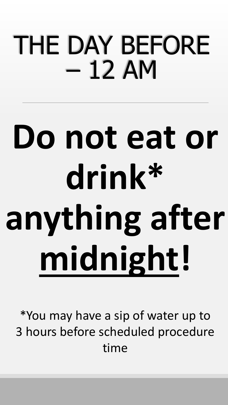### THE DAY BEFORE – 12 AM

# **Do not eat or drink\* anything after midnight!**

\*You may have a sip of water up to 3 hours before scheduled procedure time